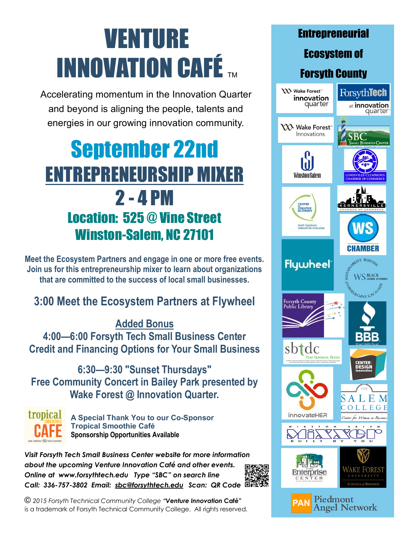# VENTURE **INNOVATION CAFÉ**

Accelerating momentum in the Innovation Quarter and beyond is aligning the people, talents and energies in our growing innovation community.

## September 22nd ENTREPRENEURSHIP MIXER 2 - 4 PM Location: 525 @ Vine Street Winston-Salem, NC 27101

**Meet the Ecosystem Partners and engage in one or more free events. Join us for this entrepreneurship mixer to learn about organizations that are committed to the success of local small businesses.** 

#### **3:00 Meet the Ecosystem Partners at Flywheel**

**Added Bonus** 

**4:00—6:00 Forsyth Tech Small Business Center Credit and Financing Options for Your Small Business** 

**6:30—9:30 "Sunset Thursdays" Free Community Concert in Bailey Park presented by Wake Forest @ Innovation Quarter.** 



**A Special Thank You to our Co-Sponsor Tropical Smoothie Café Sponsorship Opportunities Available** 

*Visit Forsyth Tech Small Business Center website for more information about the upcoming Venture Innovation Café and other events. Online at www.forsythtech.edu Type "SBC" on search line Call: 336-757-3802 Email: [sbc@forsythtech.edu](mailto:sbc@forsythtech.edu) Scan: QR Code* 

*© 2015 Forsyth Technical Community College "Venture Innovation* **Café"**  is a trademark of Forsyth Technical Community College. All rights reserved.